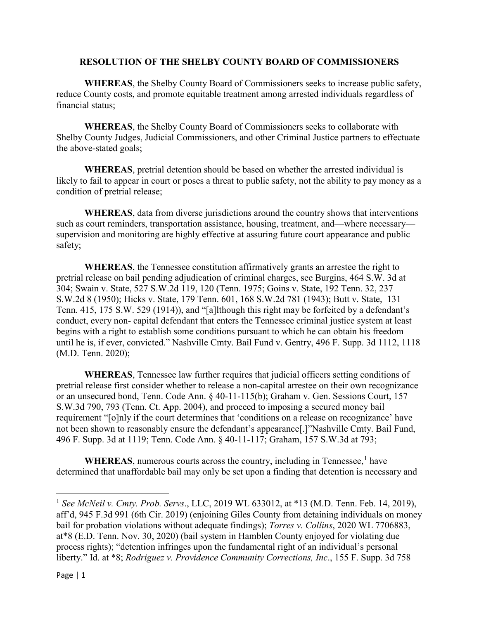## **RESOLUTION OF THE SHELBY COUNTY BOARD OF COMMISSIONERS**

**WHEREAS**, the Shelby County Board of Commissioners seeks to increase public safety, reduce County costs, and promote equitable treatment among arrested individuals regardless of financial status;

**WHEREAS**, the Shelby County Board of Commissioners seeks to collaborate with Shelby County Judges, Judicial Commissioners, and other Criminal Justice partners to effectuate the above-stated goals;

**WHEREAS**, pretrial detention should be based on whether the arrested individual is likely to fail to appear in court or poses a threat to public safety, not the ability to pay money as a condition of pretrial release;

**WHEREAS**, data from diverse jurisdictions around the country shows that interventions such as court reminders, transportation assistance, housing, treatment, and—where necessary supervision and monitoring are highly effective at assuring future court appearance and public safety;

**WHEREAS**, the Tennessee constitution affirmatively grants an arrestee the right to pretrial release on bail pending adjudication of criminal charges, see Burgins, 464 S.W. 3d at 304; Swain v. State, 527 S.W.2d 119, 120 (Tenn. 1975; Goins v. State, 192 Tenn. 32, 237 S.W.2d 8 (1950); Hicks v. State, 179 Tenn. 601, 168 S.W.2d 781 (1943); Butt v. State, 131 Tenn. 415, 175 S.W. 529 (1914)), and "[a]lthough this right may be forfeited by a defendant's conduct, every non- capital defendant that enters the Tennessee criminal justice system at least begins with a right to establish some conditions pursuant to which he can obtain his freedom until he is, if ever, convicted." Nashville Cmty. Bail Fund v. Gentry, 496 F. Supp. 3d 1112, 1118 (M.D. Tenn. 2020);

**WHEREAS**, Tennessee law further requires that judicial officers setting conditions of pretrial release first consider whether to release a non-capital arrestee on their own recognizance or an unsecured bond, Tenn. Code Ann. § 40-11-115(b); Graham v. Gen. Sessions Court, 157 S.W.3d 790, 793 (Tenn. Ct. App. 2004), and proceed to imposing a secured money bail requirement "[o]nly if the court determines that 'conditions on a release on recognizance' have not been shown to reasonably ensure the defendant's appearance[.]"Nashville Cmty. Bail Fund, 496 F. Supp. 3d at 1119; Tenn. Code Ann. § 40-11-117; Graham, 157 S.W.3d at 793;

**WHEREAS**, numerous courts across the country, including in Tennessee,<sup>[1](#page-0-0)</sup> have determined that unaffordable bail may only be set upon a finding that detention is necessary and

l

<span id="page-0-0"></span><sup>1</sup> *See McNeil v. Cmty. Prob. Servs*., LLC, 2019 WL 633012, at \*13 (M.D. Tenn. Feb. 14, 2019), aff'd, 945 F.3d 991 (6th Cir. 2019) (enjoining Giles County from detaining individuals on money bail for probation violations without adequate findings); *Torres v. Collins*, 2020 WL 7706883, at\*8 (E.D. Tenn. Nov. 30, 2020) (bail system in Hamblen County enjoyed for violating due process rights); "detention infringes upon the fundamental right of an individual's personal liberty." Id. at \*8; *Rodriguez v. Providence Community Corrections, Inc*., 155 F. Supp. 3d 758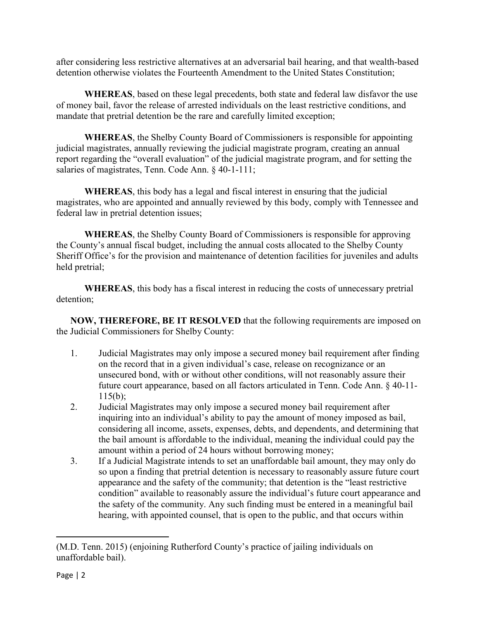after considering less restrictive alternatives at an adversarial bail hearing, and that wealth-based detention otherwise violates the Fourteenth Amendment to the United States Constitution;

**WHEREAS**, based on these legal precedents, both state and federal law disfavor the use of money bail, favor the release of arrested individuals on the least restrictive conditions, and mandate that pretrial detention be the rare and carefully limited exception;

**WHEREAS**, the Shelby County Board of Commissioners is responsible for appointing judicial magistrates, annually reviewing the judicial magistrate program, creating an annual report regarding the "overall evaluation" of the judicial magistrate program, and for setting the salaries of magistrates, Tenn. Code Ann. § 40-1-111;

**WHEREAS**, this body has a legal and fiscal interest in ensuring that the judicial magistrates, who are appointed and annually reviewed by this body, comply with Tennessee and federal law in pretrial detention issues;

**WHEREAS**, the Shelby County Board of Commissioners is responsible for approving the County's annual fiscal budget, including the annual costs allocated to the Shelby County Sheriff Office's for the provision and maintenance of detention facilities for juveniles and adults held pretrial;

**WHEREAS**, this body has a fiscal interest in reducing the costs of unnecessary pretrial detention;

**NOW, THEREFORE, BE IT RESOLVED** that the following requirements are imposed on the Judicial Commissioners for Shelby County:

- 1. Judicial Magistrates may only impose a secured money bail requirement after finding on the record that in a given individual's case, release on recognizance or an unsecured bond, with or without other conditions, will not reasonably assure their future court appearance, based on all factors articulated in Tenn. Code Ann. § 40-11-  $115(b)$ ;
- 2. Judicial Magistrates may only impose a secured money bail requirement after inquiring into an individual's ability to pay the amount of money imposed as bail, considering all income, assets, expenses, debts, and dependents, and determining that the bail amount is affordable to the individual, meaning the individual could pay the amount within a period of 24 hours without borrowing money;
- 3. If a Judicial Magistrate intends to set an unaffordable bail amount, they may only do so upon a finding that pretrial detention is necessary to reasonably assure future court appearance and the safety of the community; that detention is the "least restrictive condition" available to reasonably assure the individual's future court appearance and the safety of the community. Any such finding must be entered in a meaningful bail hearing, with appointed counsel, that is open to the public, and that occurs within

l

<sup>(</sup>M.D. Tenn. 2015) (enjoining Rutherford County's practice of jailing individuals on unaffordable bail).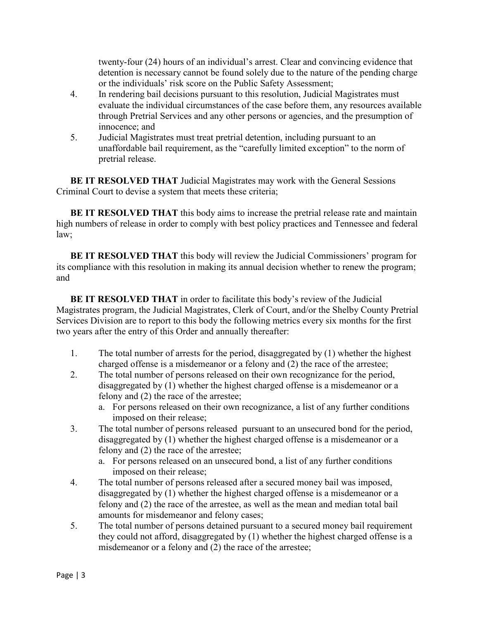twenty-four (24) hours of an individual's arrest. Clear and convincing evidence that detention is necessary cannot be found solely due to the nature of the pending charge or the individuals' risk score on the Public Safety Assessment;

- 4. In rendering bail decisions pursuant to this resolution, Judicial Magistrates must evaluate the individual circumstances of the case before them, any resources available through Pretrial Services and any other persons or agencies, and the presumption of innocence; and
- 5. Judicial Magistrates must treat pretrial detention, including pursuant to an unaffordable bail requirement, as the "carefully limited exception" to the norm of pretrial release.

**BE IT RESOLVED THAT** Judicial Magistrates may work with the General Sessions Criminal Court to devise a system that meets these criteria;

**BE IT RESOLVED THAT** this body aims to increase the pretrial release rate and maintain high numbers of release in order to comply with best policy practices and Tennessee and federal law;

**BE IT RESOLVED THAT** this body will review the Judicial Commissioners' program for its compliance with this resolution in making its annual decision whether to renew the program; and

**BE IT RESOLVED THAT** in order to facilitate this body's review of the Judicial Magistrates program, the Judicial Magistrates, Clerk of Court, and/or the Shelby County Pretrial Services Division are to report to this body the following metrics every six months for the first two years after the entry of this Order and annually thereafter:

- 1. The total number of arrests for the period, disaggregated by (1) whether the highest charged offense is a misdemeanor or a felony and (2) the race of the arrestee;
- 2. The total number of persons released on their own recognizance for the period, disaggregated by (1) whether the highest charged offense is a misdemeanor or a felony and (2) the race of the arrestee;
	- a. For persons released on their own recognizance, a list of any further conditions imposed on their release;
- 3. The total number of persons released pursuant to an unsecured bond for the period, disaggregated by (1) whether the highest charged offense is a misdemeanor or a felony and (2) the race of the arrestee;
	- a. For persons released on an unsecured bond, a list of any further conditions imposed on their release;
- 4. The total number of persons released after a secured money bail was imposed, disaggregated by (1) whether the highest charged offense is a misdemeanor or a felony and (2) the race of the arrestee, as well as the mean and median total bail amounts for misdemeanor and felony cases;
- 5. The total number of persons detained pursuant to a secured money bail requirement they could not afford, disaggregated by (1) whether the highest charged offense is a misdemeanor or a felony and (2) the race of the arrestee;